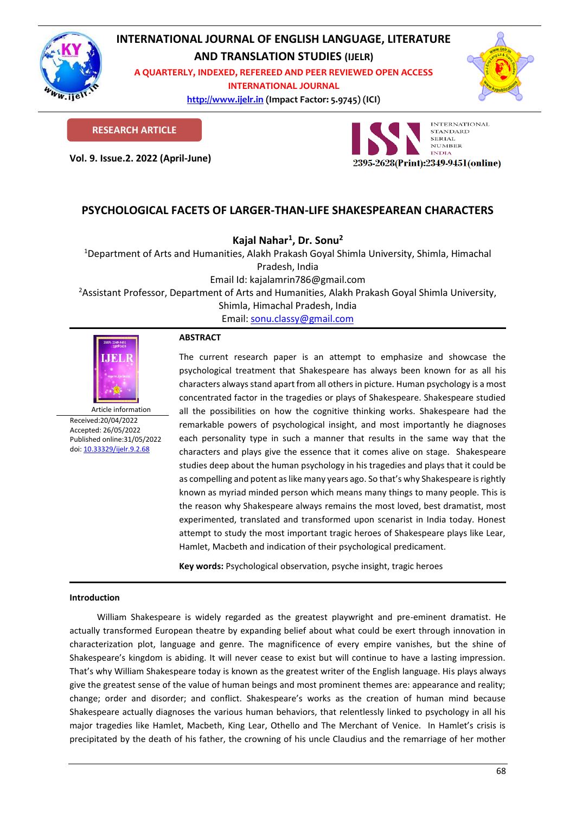

# **INTERNATIONAL JOURNAL OF ENGLISH LANGUAGE, LITERATURE**

**AND TRANSLATION STUDIES (IJELR)**

**A QUARTERLY, INDEXED, REFEREED AND PEER REVIEWED OPEN ACCESS INTERNATIONAL JOURNAL**

> **[http://www.ijelr.in](http://www.ijelr.in/) (Impact Factor: 5.9745) (ICI) KY PUBLICATIONS**



**RESEARCH ARTICLE**

**Vol. 9. Issue.2. 2022 (April-June) ARTICLE**



# **PSYCHOLOGICAL FACETS OF LARGER-THAN-LIFE SHAKESPEAREAN CHARACTERS**

**Kajal Nahar<sup>1</sup> , Dr. Sonu<sup>2</sup>**

<sup>1</sup>Department of Arts and Humanities, Alakh Prakash Goyal Shimla University, Shimla, Himachal Pradesh, India

Email Id: kajalamrin786@gmail.com

<sup>2</sup>Assistant Professor, Department of Arts and Humanities, Alakh Prakash Goyal Shimla University,

Shimla, Himachal Pradesh, India

Email[: sonu.classy@gmail.com](mailto:sonu.classy@gmail.com)



Article information Received:20/04/2022 Accepted: 26/05/2022 Published online:31/05/2022 [doi: 10.33329/ijelr.9.2.6](http://www.ijelr.in/)8

# **ABSTRACT**

The current research paper is an attempt to emphasize and showcase the psychological treatment that Shakespeare has always been known for as all his characters always stand apart from all others in picture. Human psychology is a most concentrated factor in the tragedies or plays of Shakespeare. Shakespeare studied all the possibilities on how the cognitive thinking works. Shakespeare had the remarkable powers of psychological insight, and most importantly he diagnoses each personality type in such a manner that results in the same way that the characters and plays give the essence that it comes alive on stage. Shakespeare studies deep about the human psychology in his tragedies and plays that it could be as compelling and potent as like many years ago. So that's why Shakespeare is rightly known as myriad minded person which means many things to many people. This is the reason why Shakespeare always remains the most loved, best dramatist, most experimented, translated and transformed upon scenarist in India today. Honest attempt to study the most important tragic heroes of Shakespeare plays like Lear, Hamlet, Macbeth and indication of their psychological predicament.

**Key words:** Psychological observation, psyche insight, tragic heroes

# **Introduction**

William Shakespeare is widely regarded as the greatest playwright and pre-eminent dramatist. He actually transformed European theatre by expanding belief about what could be exert through innovation in characterization plot, language and genre. The magnificence of every empire vanishes, but the shine of Shakespeare's kingdom is abiding. It will never cease to exist but will continue to have a lasting impression. That's why William Shakespeare today is known as the greatest writer of the English language. His plays always give the greatest sense of the value of human beings and most prominent themes are: appearance and reality; change; order and disorder; and conflict. Shakespeare's works as the creation of human mind because Shakespeare actually diagnoses the various human behaviors, that relentlessly linked to psychology in all his major tragedies like Hamlet, Macbeth, King Lear, Othello and The Merchant of Venice. In Hamlet's crisis is precipitated by the death of his father, the crowning of his uncle Claudius and the remarriage of her mother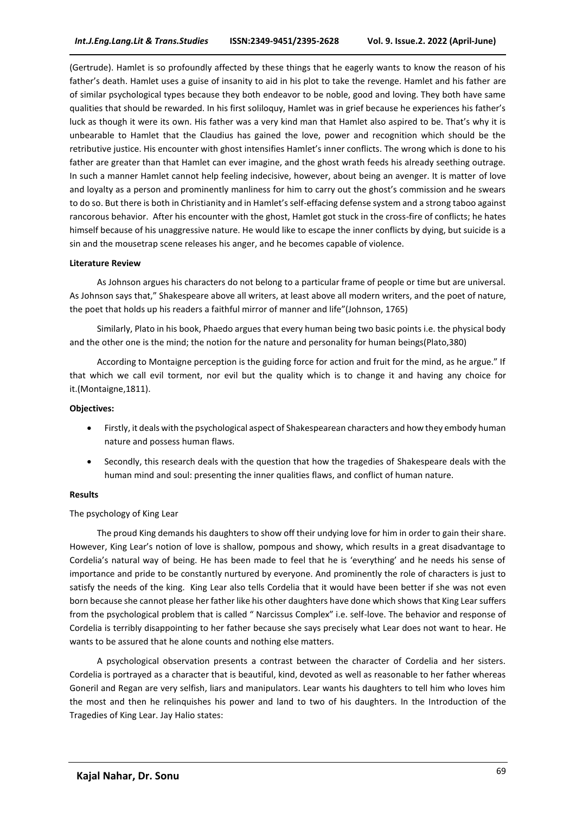(Gertrude). Hamlet is so profoundly affected by these things that he eagerly wants to know the reason of his father's death. Hamlet uses a guise of insanity to aid in his plot to take the revenge. Hamlet and his father are of similar psychological types because they both endeavor to be noble, good and loving. They both have same qualities that should be rewarded. In his first soliloquy, Hamlet was in grief because he experiences his father's luck as though it were its own. His father was a very kind man that Hamlet also aspired to be. That's why it is unbearable to Hamlet that the Claudius has gained the love, power and recognition which should be the retributive justice. His encounter with ghost intensifies Hamlet's inner conflicts. The wrong which is done to his father are greater than that Hamlet can ever imagine, and the ghost wrath feeds his already seething outrage. In such a manner Hamlet cannot help feeling indecisive, however, about being an avenger. It is matter of love and loyalty as a person and prominently manliness for him to carry out the ghost's commission and he swears to do so. But there is both in Christianity and in Hamlet's self-effacing defense system and a strong taboo against rancorous behavior. After his encounter with the ghost, Hamlet got stuck in the cross-fire of conflicts; he hates himself because of his unaggressive nature. He would like to escape the inner conflicts by dying, but suicide is a sin and the mousetrap scene releases his anger, and he becomes capable of violence.

#### **Literature Review**

As Johnson argues his characters do not belong to a particular frame of people or time but are universal. As Johnson says that," Shakespeare above all writers, at least above all modern writers, and the poet of nature, the poet that holds up his readers a faithful mirror of manner and life"(Johnson, 1765)

Similarly, Plato in his book, Phaedo argues that every human being two basic points i.e. the physical body and the other one is the mind; the notion for the nature and personality for human beings(Plato,380)

According to Montaigne perception is the guiding force for action and fruit for the mind, as he argue." If that which we call evil torment, nor evil but the quality which is to change it and having any choice for it.(Montaigne,1811).

#### **Objectives:**

- Firstly, it deals with the psychological aspect of Shakespearean characters and how they embody human nature and possess human flaws.
- Secondly, this research deals with the question that how the tragedies of Shakespeare deals with the human mind and soul: presenting the inner qualities flaws, and conflict of human nature.

#### **Results**

# The psychology of King Lear

The proud King demands his daughters to show off their undying love for him in order to gain their share. However, King Lear's notion of love is shallow, pompous and showy, which results in a great disadvantage to Cordelia's natural way of being. He has been made to feel that he is 'everything' and he needs his sense of importance and pride to be constantly nurtured by everyone. And prominently the role of characters is just to satisfy the needs of the king. King Lear also tells Cordelia that it would have been better if she was not even born because she cannot please her father like his other daughters have done which shows that King Lear suffers from the psychological problem that is called " Narcissus Complex" i.e. self-love. The behavior and response of Cordelia is terribly disappointing to her father because she says precisely what Lear does not want to hear. He wants to be assured that he alone counts and nothing else matters.

A psychological observation presents a contrast between the character of Cordelia and her sisters. Cordelia is portrayed as a character that is beautiful, kind, devoted as well as reasonable to her father whereas Goneril and Regan are very selfish, liars and manipulators. Lear wants his daughters to tell him who loves him the most and then he relinquishes his power and land to two of his daughters. In the Introduction of the Tragedies of King Lear. Jay Halio states: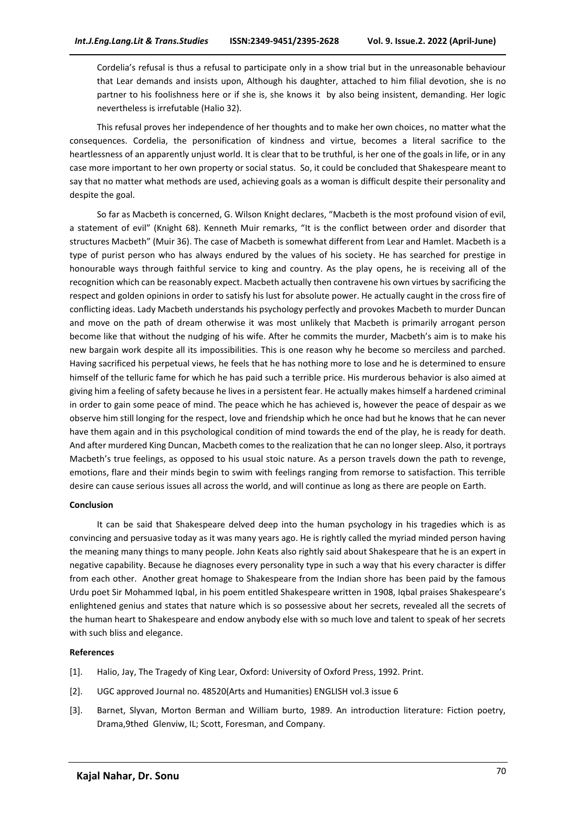Cordelia's refusal is thus a refusal to participate only in a show trial but in the unreasonable behaviour that Lear demands and insists upon, Although his daughter, attached to him filial devotion, she is no partner to his foolishness here or if she is, she knows it by also being insistent, demanding. Her logic nevertheless is irrefutable (Halio 32).

This refusal proves her independence of her thoughts and to make her own choices, no matter what the consequences. Cordelia, the personification of kindness and virtue, becomes a literal sacrifice to the heartlessness of an apparently unjust world. It is clear that to be truthful, is her one of the goals in life, or in any case more important to her own property or social status. So, it could be concluded that Shakespeare meant to say that no matter what methods are used, achieving goals as a woman is difficult despite their personality and despite the goal.

So far as Macbeth is concerned, G. Wilson Knight declares, "Macbeth is the most profound vision of evil, a statement of evil" (Knight 68). Kenneth Muir remarks, "It is the conflict between order and disorder that structures Macbeth" (Muir 36). The case of Macbeth is somewhat different from Lear and Hamlet. Macbeth is a type of purist person who has always endured by the values of his society. He has searched for prestige in honourable ways through faithful service to king and country. As the play opens, he is receiving all of the recognition which can be reasonably expect. Macbeth actually then contravene his own virtues by sacrificing the respect and golden opinions in order to satisfy his lust for absolute power. He actually caught in the cross fire of conflicting ideas. Lady Macbeth understands his psychology perfectly and provokes Macbeth to murder Duncan and move on the path of dream otherwise it was most unlikely that Macbeth is primarily arrogant person become like that without the nudging of his wife. After he commits the murder, Macbeth's aim is to make his new bargain work despite all its impossibilities. This is one reason why he become so merciless and parched. Having sacrificed his perpetual views, he feels that he has nothing more to lose and he is determined to ensure himself of the telluric fame for which he has paid such a terrible price. His murderous behavior is also aimed at giving him a feeling of safety because he lives in a persistent fear. He actually makes himself a hardened criminal in order to gain some peace of mind. The peace which he has achieved is, however the peace of despair as we observe him still longing for the respect, love and friendship which he once had but he knows that he can never have them again and in this psychological condition of mind towards the end of the play, he is ready for death. And after murdered King Duncan, Macbeth comes to the realization that he can no longer sleep. Also, it portrays Macbeth's true feelings, as opposed to his usual stoic nature. As a person travels down the path to revenge, emotions, flare and their minds begin to swim with feelings ranging from remorse to satisfaction. This terrible desire can cause serious issues all across the world, and will continue as long as there are people on Earth.

# **Conclusion**

It can be said that Shakespeare delved deep into the human psychology in his tragedies which is as convincing and persuasive today as it was many years ago. He is rightly called the myriad minded person having the meaning many things to many people. John Keats also rightly said about Shakespeare that he is an expert in negative capability. Because he diagnoses every personality type in such a way that his every character is differ from each other. Another great homage to Shakespeare from the Indian shore has been paid by the famous Urdu poet Sir Mohammed Iqbal, in his poem entitled Shakespeare written in 1908, Iqbal praises Shakespeare's enlightened genius and states that nature which is so possessive about her secrets, revealed all the secrets of the human heart to Shakespeare and endow anybody else with so much love and talent to speak of her secrets with such bliss and elegance.

#### **References**

- [1]. Halio, Jay, The Tragedy of King Lear, Oxford: University of Oxford Press, 1992. Print.
- [2]. UGC approved Journal no. 48520(Arts and Humanities) ENGLISH vol.3 issue 6
- [3]. Barnet, Slyvan, Morton Berman and William burto, 1989. An introduction literature: Fiction poetry, Drama,9thed Glenviw, IL; Scott, Foresman, and Company.